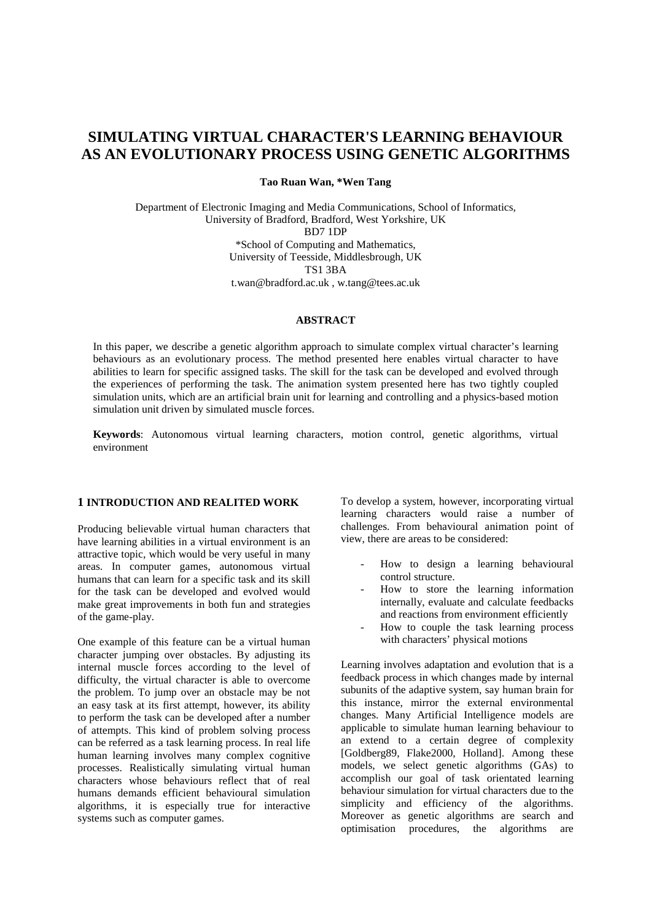# **SIMULATING VIRTUAL CHARACTER'S LEARNING BEHAVIOUR AS AN EVOLUTIONARY PROCESS USING GENETIC ALGORITHMS**

**Tao Ruan Wan, \*Wen Tang**

Department of Electronic Imaging and Media Communications, School of Informatics, University of Bradford, Bradford, West Yorkshire, UK BD7 1DP \*School of Computing and Mathematics, University of Teesside, Middlesbrough, UK TS1 3BA t.wan@bradford.ac.uk , w.tang@tees.ac.uk

## **ABSTRACT**

In this paper, we describe a genetic algorithm approach to simulate complex virtual character's learning behaviours as an evolutionary process. The method presented here enables virtual character to have abilities to learn for specific assigned tasks. The skill for the task can be developed and evolved through the experiences of performing the task. The animation system presented here has two tightly coupled simulation units, which are an artificial brain unit for learning and controlling and a physics-based motion simulation unit driven by simulated muscle forces.

**Keywords**: Autonomous virtual learning characters, motion control, genetic algorithms, virtual environment

## **1 INTRODUCTION AND REALITED WORK**

Producing believable virtual human characters that have learning abilities in a virtual environment is an attractive topic, which would be very useful in many areas. In computer games, autonomous virtual humans that can learn for a specific task and its skill for the task can be developed and evolved would make great improvements in both fun and strategies of the game-play.

One example of this feature can be a virtual human character jumping over obstacles. By adjusting its internal muscle forces according to the level of difficulty, the virtual character is able to overcome the problem. To jump over an obstacle may be not an easy task at its first attempt, however, its ability to perform the task can be developed after a number of attempts. This kind of problem solving process can be referred as a task learning process. In real life human learning involves many complex cognitive processes. Realistically simulating virtual human characters whose behaviours reflect that of real humans demands efficient behavioural simulation algorithms, it is especially true for interactive systems such as computer games.

To develop a system, however, incorporating virtual learning characters would raise a number of challenges. From behavioural animation point of view, there are areas to be considered:

- How to design a learning behavioural control structure.
- How to store the learning information internally, evaluate and calculate feedbacks and reactions from environment efficiently
- How to couple the task learning process with characters' physical motions

Learning involves adaptation and evolution that is a feedback process in which changes made by internal subunits of the adaptive system, say human brain for this instance, mirror the external environmental changes. Many Artificial Intelligence models are applicable to simulate human learning behaviour to an extend to a certain degree of complexity [Goldberg89, Flake2000, Holland]. Among these models, we select genetic algorithms (GAs) to accomplish our goal of task orientated learning behaviour simulation for virtual characters due to the simplicity and efficiency of the algorithms. Moreover as genetic algorithms are search and optimisation procedures, the algorithms are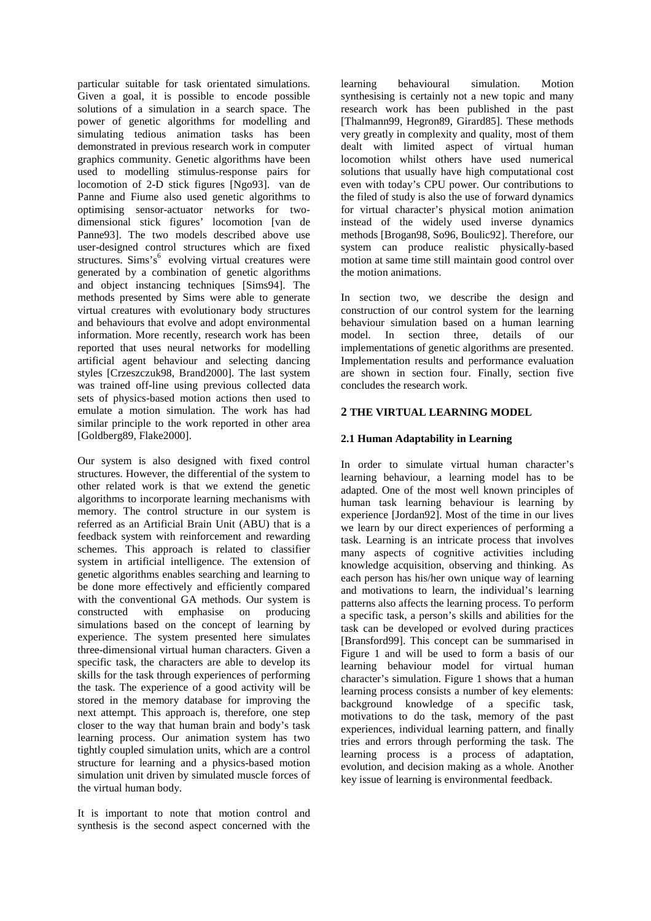particular suitable for task orientated simulations. Given a goal, it is possible to encode possible solutions of a simulation in a search space. The power of genetic algorithms for modelling and simulating tedious animation tasks has been demonstrated in previous research work in computer graphics community. Genetic algorithms have been used to modelling stimulus-response pairs for locomotion of 2-D stick figures [Ngo93]. van de Panne and Fiume also used genetic algorithms to optimising sensor-actuator networks for twodimensional stick figures' locomotion [van de Panne93]. The two models described above use user-designed control structures which are fixed structures. Sims's<sup>6</sup> evolving virtual creatures were generated by a combination of genetic algorithms and object instancing techniques [Sims94]. The methods presented by Sims were able to generate virtual creatures with evolutionary body structures and behaviours that evolve and adopt environmental information. More recently, research work has been reported that uses neural networks for modelling artificial agent behaviour and selecting dancing styles [Crzeszczuk98, Brand2000]. The last system was trained off-line using previous collected data sets of physics-based motion actions then used to emulate a motion simulation. The work has had similar principle to the work reported in other area [Goldberg89, Flake2000].

Our system is also designed with fixed control structures. However, the differential of the system to other related work is that we extend the genetic algorithms to incorporate learning mechanisms with memory. The control structure in our system is referred as an Artificial Brain Unit (ABU) that is a feedback system with reinforcement and rewarding schemes. This approach is related to classifier system in artificial intelligence. The extension of genetic algorithms enables searching and learning to be done more effectively and efficiently compared with the conventional GA methods. Our system is constructed with emphasise on producing simulations based on the concept of learning by experience. The system presented here simulates three-dimensional virtual human characters. Given a specific task, the characters are able to develop its skills for the task through experiences of performing the task. The experience of a good activity will be stored in the memory database for improving the next attempt. This approach is, therefore, one step closer to the way that human brain and body's task learning process. Our animation system has two tightly coupled simulation units, which are a control structure for learning and a physics-based motion simulation unit driven by simulated muscle forces of the virtual human body.

It is important to note that motion control and synthesis is the second aspect concerned with the learning behavioural simulation. Motion synthesising is certainly not a new topic and many research work has been published in the past [Thalmann99, Hegron89, Girard85]. These methods very greatly in complexity and quality, most of them dealt with limited aspect of virtual human locomotion whilst others have used numerical solutions that usually have high computational cost even with today's CPU power. Our contributions to the filed of study is also the use of forward dynamics for virtual character's physical motion animation instead of the widely used inverse dynamics methods [Brogan98, So96, Boulic92]. Therefore, our system can produce realistic physically-based motion at same time still maintain good control over the motion animations.

In section two, we describe the design and construction of our control system for the learning behaviour simulation based on a human learning model. In section three, details of our implementations of genetic algorithms are presented. Implementation results and performance evaluation are shown in section four. Finally, section five concludes the research work.

# **2 THE VIRTUAL LEARNING MODEL**

# **2.1 Human Adaptability in Learning**

In order to simulate virtual human character's learning behaviour, a learning model has to be adapted. One of the most well known principles of human task learning behaviour is learning by experience [Jordan92]. Most of the time in our lives we learn by our direct experiences of performing a task. Learning is an intricate process that involves many aspects of cognitive activities including knowledge acquisition, observing and thinking. As each person has his/her own unique way of learning and motivations to learn, the individual's learning patterns also affects the learning process. To perform a specific task, a person's skills and abilities for the task can be developed or evolved during practices [Bransford99]. This concept can be summarised in Figure 1 and will be used to form a basis of our learning behaviour model for virtual human character's simulation. Figure 1 shows that a human learning process consists a number of key elements: background knowledge of a specific task, motivations to do the task, memory of the past experiences, individual learning pattern, and finally tries and errors through performing the task. The learning process is a process of adaptation, evolution, and decision making as a whole. Another key issue of learning is environmental feedback.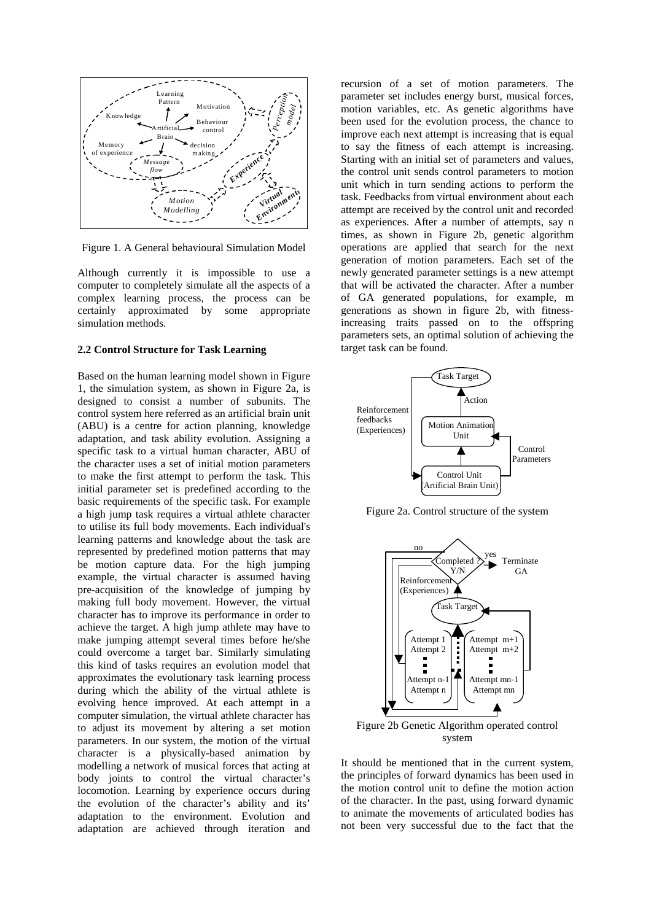

Figure 1. A General behavioural Simulation Model

Although currently it is impossible to use a computer to completely simulate all the aspects of a complex learning process, the process can be certainly approximated by some appropriate simulation methods.

#### **2.2 Control Structure for Task Learning**

Based on the human learning model shown in Figure 1, the simulation system, as shown in Figure 2a, is designed to consist a number of subunits. The control system here referred as an artificial brain unit (ABU) is a centre for action planning, knowledge adaptation, and task ability evolution. Assigning a specific task to a virtual human character, ABU of the character uses a set of initial motion parameters to make the first attempt to perform the task. This initial parameter set is predefined according to the basic requirements of the specific task. For example a high jump task requires a virtual athlete character to utilise its full body movements. Each individual's learning patterns and knowledge about the task are represented by predefined motion patterns that may be motion capture data. For the high jumping example, the virtual character is assumed having pre-acquisition of the knowledge of jumping by making full body movement. However, the virtual character has to improve its performance in order to achieve the target. A high jump athlete may have to make jumping attempt several times before he/she could overcome a target bar. Similarly simulating this kind of tasks requires an evolution model that approximates the evolutionary task learning process during which the ability of the virtual athlete is evolving hence improved. At each attempt in a computer simulation, the virtual athlete character has to adjust its movement by altering a set motion parameters. In our system, the motion of the virtual character is a physically-based animation by modelling a network of musical forces that acting at body joints to control the virtual character's locomotion. Learning by experience occurs during the evolution of the character's ability and its' adaptation to the environment. Evolution and adaptation are achieved through iteration and recursion of a set of motion parameters. The parameter set includes energy burst, musical forces, motion variables, etc. As genetic algorithms have been used for the evolution process, the chance to improve each next attempt is increasing that is equal to say the fitness of each attempt is increasing. Starting with an initial set of parameters and values, the control unit sends control parameters to motion unit which in turn sending actions to perform the task. Feedbacks from virtual environment about each attempt are received by the control unit and recorded as experiences. After a number of attempts, say n times, as shown in Figure 2b, genetic algorithm operations are applied that search for the next generation of motion parameters. Each set of the newly generated parameter settings is a new attempt that will be activated the character. After a number of GA generated populations, for example, m generations as shown in figure 2b, with fitnessincreasing traits passed on to the offspring parameters sets, an optimal solution of achieving the target task can be found.



Figure 2a. Control structure of the system



system

It should be mentioned that in the current system, the principles of forward dynamics has been used in the motion control unit to define the motion action of the character. In the past, using forward dynamic to animate the movements of articulated bodies has not been very successful due to the fact that the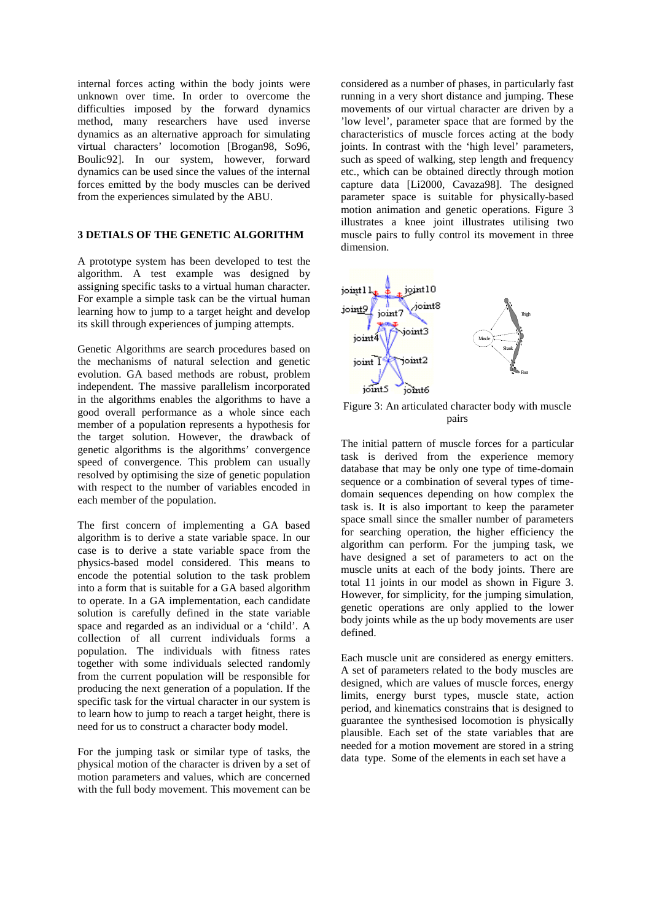internal forces acting within the body joints were unknown over time. In order to overcome the difficulties imposed by the forward dynamics method, many researchers have used inverse dynamics as an alternative approach for simulating virtual characters' locomotion [Brogan98, So96, Boulic92]. In our system, however, forward dynamics can be used since the values of the internal forces emitted by the body muscles can be derived from the experiences simulated by the ABU.

## **3 DETIALS OF THE GENETIC ALGORITHM**

A prototype system has been developed to test the algorithm. A test example was designed by assigning specific tasks to a virtual human character. For example a simple task can be the virtual human learning how to jump to a target height and develop its skill through experiences of jumping attempts.

Genetic Algorithms are search procedures based on the mechanisms of natural selection and genetic evolution. GA based methods are robust, problem independent. The massive parallelism incorporated in the algorithms enables the algorithms to have a good overall performance as a whole since each member of a population represents a hypothesis for the target solution. However, the drawback of genetic algorithms is the algorithms' convergence speed of convergence. This problem can usually resolved by optimising the size of genetic population with respect to the number of variables encoded in each member of the population.

The first concern of implementing a GA based algorithm is to derive a state variable space. In our case is to derive a state variable space from the physics-based model considered. This means to encode the potential solution to the task problem into a form that is suitable for a GA based algorithm to operate. In a GA implementation, each candidate solution is carefully defined in the state variable space and regarded as an individual or a 'child'. A collection of all current individuals forms a population. The individuals with fitness rates together with some individuals selected randomly from the current population will be responsible for producing the next generation of a population. If the specific task for the virtual character in our system is to learn how to jump to reach a target height, there is need for us to construct a character body model.

For the jumping task or similar type of tasks, the physical motion of the character is driven by a set of motion parameters and values, which are concerned with the full body movement. This movement can be

considered as a number of phases, in particularly fast running in a very short distance and jumping. These movements of our virtual character are driven by a 'low level', parameter space that are formed by the characteristics of muscle forces acting at the body joints. In contrast with the 'high level' parameters, such as speed of walking, step length and frequency etc., which can be obtained directly through motion capture data [Li2000, Cavaza98]. The designed parameter space is suitable for physically-based motion animation and genetic operations. Figure 3 illustrates a knee joint illustrates utilising two muscle pairs to fully control its movement in three dimension.



Figure 3: An articulated character body with muscle pairs

The initial pattern of muscle forces for a particular task is derived from the experience memory database that may be only one type of time-domain sequence or a combination of several types of timedomain sequences depending on how complex the task is. It is also important to keep the parameter space small since the smaller number of parameters for searching operation, the higher efficiency the algorithm can perform. For the jumping task, we have designed a set of parameters to act on the muscle units at each of the body joints. There are total 11 joints in our model as shown in Figure 3. However, for simplicity, for the jumping simulation, genetic operations are only applied to the lower body joints while as the up body movements are user defined.

Each muscle unit are considered as energy emitters. A set of parameters related to the body muscles are designed, which are values of muscle forces, energy limits, energy burst types, muscle state, action period, and kinematics constrains that is designed to guarantee the synthesised locomotion is physically plausible. Each set of the state variables that are needed for a motion movement are stored in a string data type. Some of the elements in each set have a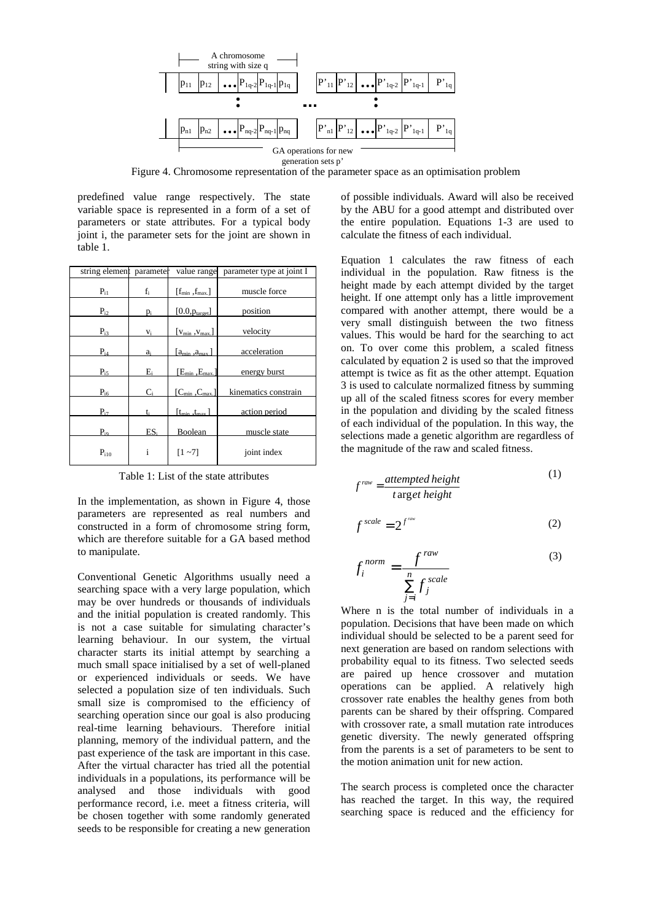

Figure 4. Chromosome representation of the parameter space as an optimisation problem

predefined value range respectively. The state variable space is represented in a form of a set of parameters or state attributes. For a typical body joint i, the parameter sets for the joint are shown in table 1.

| string element | parameter | value range             | parameter type at joint I |
|----------------|-----------|-------------------------|---------------------------|
| $P_{i1}$       | $f_i$     | $[f_{min}, f_{max}]$    | muscle force              |
| $P_{i2}$       | $p_i$     | $[0.0, p_{target}]$     | position                  |
| $P_{i3}$       | $V_i$     | $[v_{min}, v_{max}]$    | velocity                  |
| $P_{i4}$       | $a_i$     | $a_{\min}$ , $a_{\max}$ | acceleration              |
| $P_{i5}$       | $E_i$     | $[E_{min}, E_{max}]$    | energy burst              |
| $P_{i6}$       | $C_i$     | $[C_{\min},C_{\max}]$   | kinematics constrain      |
| $P_{i7}$       | t÷        | $[t_{\min}.t_{\max}]$   | action period             |
| $P_{i9}$       | ES.       | Boolean                 | muscle state              |
| $P_{i10}$      | i         | $[1 - 7]$               | joint index               |

Table 1: List of the state attributes

In the implementation, as shown in Figure 4, those parameters are represented as real numbers and constructed in a form of chromosome string form, which are therefore suitable for a GA based method to manipulate.

Conventional Genetic Algorithms usually need a searching space with a very large population, which may be over hundreds or thousands of individuals and the initial population is created randomly. This is not a case suitable for simulating character's learning behaviour. In our system, the virtual character starts its initial attempt by searching a much small space initialised by a set of well-planed or experienced individuals or seeds. We have selected a population size of ten individuals. Such small size is compromised to the efficiency of searching operation since our goal is also producing real-time learning behaviours. Therefore initial planning, memory of the individual pattern, and the past experience of the task are important in this case. After the virtual character has tried all the potential individuals in a populations, its performance will be analysed and those individuals with good performance record, i.e. meet a fitness criteria, will be chosen together with some randomly generated seeds to be responsible for creating a new generation of possible individuals. Award will also be received by the ABU for a good attempt and distributed over the entire population. Equations 1-3 are used to calculate the fitness of each individual.

Equation 1 calculates the raw fitness of each individual in the population. Raw fitness is the height made by each attempt divided by the target height. If one attempt only has a little improvement compared with another attempt, there would be a very small distinguish between the two fitness values. This would be hard for the searching to act on. To over come this problem, a scaled fitness calculated by equation 2 is used so that the improved attempt is twice as fit as the other attempt. Equation 3 is used to calculate normalized fitness by summing up all of the scaled fitness scores for every member in the population and dividing by the scaled fitness of each individual of the population. In this way, the selections made a genetic algorithm are regardless of the magnitude of the raw and scaled fitness.

$$
f^{raw} = \frac{attempted height}{t \arg et height} \tag{1}
$$

$$
f^{scale} = 2^{f^{raw}} \tag{2}
$$

$$
f_i^{norm} = \frac{f^{raw}}{\sum_{j=i}^{n} f_j^{scale}}
$$
 (3)

Where n is the total number of individuals in a population. Decisions that have been made on which individual should be selected to be a parent seed for next generation are based on random selections with probability equal to its fitness. Two selected seeds are paired up hence crossover and mutation operations can be applied. A relatively high crossover rate enables the healthy genes from both parents can be shared by their offspring. Compared with crossover rate, a small mutation rate introduces genetic diversity. The newly generated offspring from the parents is a set of parameters to be sent to the motion animation unit for new action.

The search process is completed once the character has reached the target. In this way, the required searching space is reduced and the efficiency for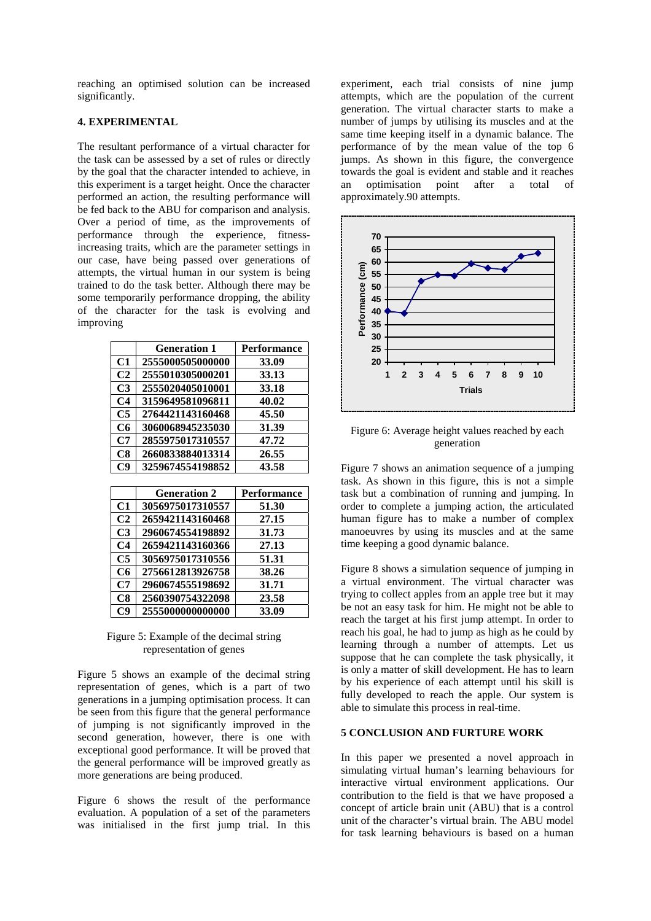reaching an optimised solution can be increased significantly.

# **4. EXPERIMENTAL**

The resultant performance of a virtual character for the task can be assessed by a set of rules or directly by the goal that the character intended to achieve, in this experiment is a target height. Once the character performed an action, the resulting performance will be fed back to the ABU for comparison and analysis. Over a period of time, as the improvements of performance through the experience, fitnessincreasing traits, which are the parameter settings in our case, have being passed over generations of attempts, the virtual human in our system is being trained to do the task better. Although there may be some temporarily performance dropping, the ability of the character for the task is evolving and improving

|                | <b>Generation 1</b> | Performance        |
|----------------|---------------------|--------------------|
| C1             | 2555000505000000    | 33.09              |
| C <sub>2</sub> | 2555010305000201    | 33.13              |
| C3             | 2555020405010001    | 33.18              |
| C4             | 3159649581096811    | 40.02              |
| C <sub>5</sub> | 2764421143160468    | 45.50              |
| C6             | 3060068945235030    | 31.39              |
| C7             | 2855975017310557    | 47.72              |
| C8             | 2660833884013314    | 26.55              |
| C9             | 3259674554198852    | 43.58              |
|                |                     |                    |
|                |                     |                    |
|                | <b>Generation 2</b> | <b>Performance</b> |
| C1             | 3056975017310557    | 51.30              |
| C <sub>2</sub> | 2659421143160468    | 27.15              |
| C <sub>3</sub> | 2960674554198892    | 31.73              |
| C4             | 2659421143160366    | 27.13              |
| C <sub>5</sub> | 3056975017310556    | 51.31              |
| C6             | 2756612813926758    | 38.26              |
| C7             | 2960674555198692    | 31.71              |
| C8             | 2560390754322098    | 23.58              |

Figure 5: Example of the decimal string representation of genes

Figure 5 shows an example of the decimal string representation of genes, which is a part of two generations in a jumping optimisation process. It can be seen from this figure that the general performance of jumping is not significantly improved in the second generation, however, there is one with exceptional good performance. It will be proved that the general performance will be improved greatly as more generations are being produced.

Figure 6 shows the result of the performance evaluation. A population of a set of the parameters was initialised in the first jump trial. In this experiment, each trial consists of nine jump attempts, which are the population of the current generation. The virtual character starts to make a number of jumps by utilising its muscles and at the same time keeping itself in a dynamic balance. The performance of by the mean value of the top 6 jumps. As shown in this figure, the convergence towards the goal is evident and stable and it reaches an optimisation point after a total of approximately.90 attempts.



Figure 6: Average height values reached by each generation

Figure 7 shows an animation sequence of a jumping task. As shown in this figure, this is not a simple task but a combination of running and jumping. In order to complete a jumping action, the articulated human figure has to make a number of complex manoeuvres by using its muscles and at the same time keeping a good dynamic balance.

Figure 8 shows a simulation sequence of jumping in a virtual environment. The virtual character was trying to collect apples from an apple tree but it may be not an easy task for him. He might not be able to reach the target at his first jump attempt. In order to reach his goal, he had to jump as high as he could by learning through a number of attempts. Let us suppose that he can complete the task physically, it is only a matter of skill development. He has to learn by his experience of each attempt until his skill is fully developed to reach the apple. Our system is able to simulate this process in real-time.

## **5 CONCLUSION AND FURTURE WORK**

In this paper we presented a novel approach in simulating virtual human's learning behaviours for interactive virtual environment applications. Our contribution to the field is that we have proposed a concept of article brain unit (ABU) that is a control unit of the character's virtual brain. The ABU model for task learning behaviours is based on a human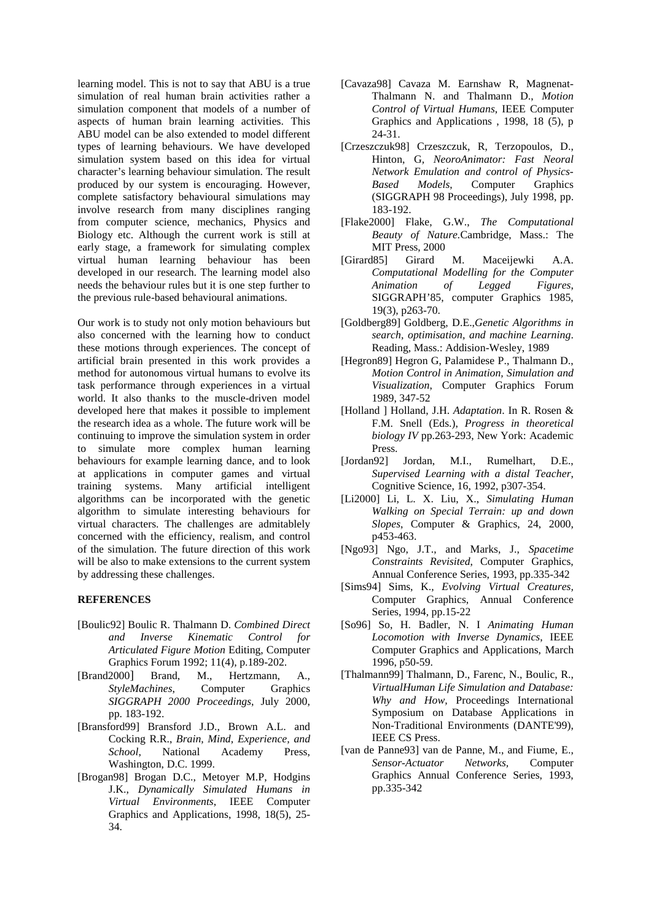learning model. This is not to say that ABU is a true simulation of real human brain activities rather a simulation component that models of a number of aspects of human brain learning activities. This ABU model can be also extended to model different types of learning behaviours. We have developed simulation system based on this idea for virtual character's learning behaviour simulation. The result produced by our system is encouraging. However, complete satisfactory behavioural simulations may involve research from many disciplines ranging from computer science, mechanics, Physics and Biology etc. Although the current work is still at early stage, a framework for simulating complex virtual human learning behaviour has been developed in our research. The learning model also needs the behaviour rules but it is one step further to the previous rule-based behavioural animations.

Our work is to study not only motion behaviours but also concerned with the learning how to conduct these motions through experiences. The concept of artificial brain presented in this work provides a method for autonomous virtual humans to evolve its task performance through experiences in a virtual world. It also thanks to the muscle-driven model developed here that makes it possible to implement the research idea as a whole. The future work will be continuing to improve the simulation system in order to simulate more complex human learning behaviours for example learning dance, and to look at applications in computer games and virtual training systems. Many artificial intelligent algorithms can be incorporated with the genetic algorithm to simulate interesting behaviours for virtual characters. The challenges are admitablely concerned with the efficiency, realism, and control of the simulation. The future direction of this work will be also to make extensions to the current system by addressing these challenges.

## **REFERENCES**

- [Boulic92] Boulic R. Thalmann D. *Combined Direct and Inverse Kinematic Control for Articulated Figure Motion* Editing, Computer Graphics Forum 1992; 11(4), p.189-202.
- [Brand2000] Brand, M., Hertzmann, A., *StyleMachines*, Computer Graphics *SIGGRAPH 2000 Proceedings*, July 2000, pp. 183-192.
- [Bransford99] Bransford J.D., Brown A.L. and Cocking R.R., *Brain, Mind, Experience, and School*, National Academy Press, Washington, D.C. 1999.
- [Brogan98] Brogan D.C., Metoyer M.P, Hodgins J.K., *Dynamically Simulated Humans in Virtual Environments*, IEEE Computer Graphics and Applications, 1998, 18(5), 25- 34.
- [Cavaza98] Cavaza M. Earnshaw R, Magnenat-Thalmann N. and Thalmann D., *Motion Control of Virtual Humans*, IEEE Computer Graphics and Applications , 1998, 18 (5), p 24-31.
- [Crzeszczuk98] Crzeszczuk, R, Terzopoulos, D., Hinton, G*, NeoroAnimator: Fast Neoral Network Emulation and control of Physics-Based Models*, Computer Graphics (SIGGRAPH 98 Proceedings), July 1998, pp. 183-192.
- [Flake2000] Flake, G.W., *The Computational Beauty of Nature.*Cambridge, Mass.: The MIT Press, 2000
- [Girard85] Girard M. Maceijewki A.A. *Computational Modelling for the Computer Animation of Legged Figures*, SIGGRAPH'85, computer Graphics 1985, 19(3), p263-70.
- [Goldberg89] Goldberg, D.E.,*Genetic Algorithms in search, optimisation, and machine Learning*. Reading, Mass.: Addision-Wesley, 1989
- [Hegron89] Hegron G, Palamidese P., Thalmann D., *Motion Control in Animation, Simulation and Visualization*, Computer Graphics Forum 1989, 347-52
- [Holland ] Holland, J.H. *Adaptation*. In R. Rosen & F.M. Snell (Eds.), *Progress in theoretical biology IV* pp.263-293, New York: Academic Press.
- [Jordan92] Jordan, M.I., Rumelhart, D.E., *Supervised Learning with a distal Teacher*, Cognitive Science, 16, 1992, p307-354.
- [Li2000] Li, L. X. Liu, X., *Simulating Human Walking on Special Terrain: up and down Slopes*, Computer & Graphics, 24, 2000, p453-463.
- [Ngo93] Ngo, J.T., and Marks, J., *Spacetime Constraints Revisited*, Computer Graphics, Annual Conference Series, 1993, pp.335-342
- [Sims94] Sims, K., *Evolving Virtual Creatures,* Computer Graphics, Annual Conference Series, 1994, pp.15-22
- [So96] So, H. Badler, N. I *Animating Human Locomotion with Inverse Dynamics*, IEEE Computer Graphics and Applications, March 1996, p50-59.
- [Thalmann99] Thalmann, D., Farenc, N., Boulic, R., *VirtualHuman Life Simulation and Database: Why and How,* Proceedings International Symposium on Database Applications in Non-Traditional Environments (DANTE'99), IEEE CS Press.
- [van de Panne93] van de Panne, M., and Fiume, E., *Sensor-Actuator Networks,* Computer Graphics Annual Conference Series, 1993, pp.335-342